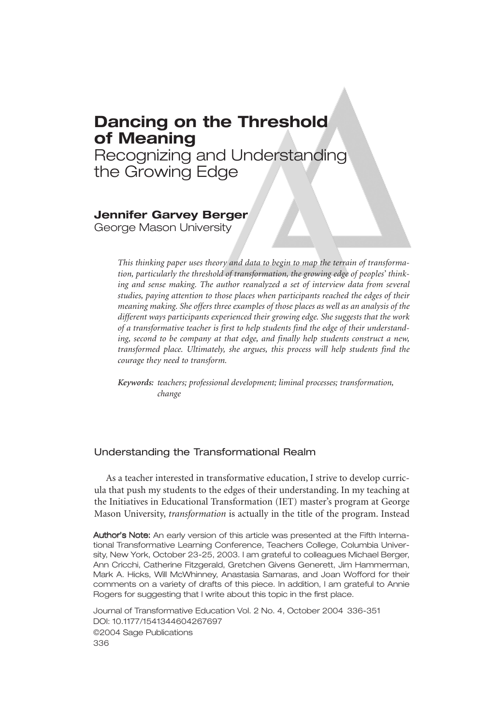# **Dancing on the Threshold of Meaning**

Recognizing and Understanding the Growing Edge

## **Jennifer Garvey Berger**

George Mason University

*This thinking paper uses theory and data to begin to map the terrain of transformation, particularly the threshold of transformation, the growing edge of peoples' thinking and sense making. The author reanalyzed a set of interview data from several studies, paying attention to those places when participants reached the edges of their meaning making. She offers three examples of those places as well as an analysis of the different ways participants experienced their growing edge. She suggests that the work of a transformative teacher is first to help students find the edge of their understanding, second to be company at that edge, and finally help students construct a new, transformed place. Ultimately, she argues, this process will help students find the courage they need to transform.*

*Keywords: teachers; professional development; liminal processes; transformation, change*

## Understanding the Transformational Realm

As a teacher interested in transformative education, I strive to develop curricula that push my students to the edges of their understanding. In my teaching at the Initiatives in Educational Transformation (IET) master's program at George Mason University, *transformation* is actually in the title of the program. Instead

Author's Note: An early version of this article was presented at the Fifth International Transformative Learning Conference, Teachers College, Columbia University, New York, October 23-25, 2003. I am grateful to colleagues Michael Berger, Ann Cricchi, Catherine Fitzgerald, Gretchen Givens Generett, Jim Hammerman, Mark A. Hicks, Will McWhinney, Anastasia Samaras, and Joan Wofford for their comments on a variety of drafts of this piece. In addition, I am grateful to Annie Rogers for suggesting that I write about this topic in the first place.

Journal of Transformative Education Vol. 2 No. 4, October 2004 336-351 DOI: 10.1177/1541344604267697 ©2004 Sage Publications 336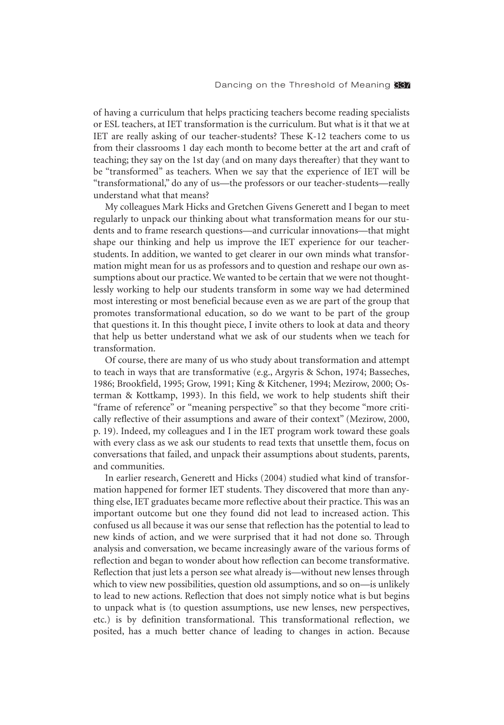of having a curriculum that helps practicing teachers become reading specialists or ESL teachers, at IET transformation is the curriculum. But what is it that we at IET are really asking of our teacher-students? These K-12 teachers come to us from their classrooms 1 day each month to become better at the art and craft of teaching; they say on the 1st day (and on many days thereafter) that they want to be "transformed" as teachers. When we say that the experience of IET will be "transformational," do any of us—the professors or our teacher-students—really understand what that means?

My colleagues Mark Hicks and Gretchen Givens Generett and I began to meet regularly to unpack our thinking about what transformation means for our students and to frame research questions—and curricular innovations—that might shape our thinking and help us improve the IET experience for our teacherstudents. In addition, we wanted to get clearer in our own minds what transformation might mean for us as professors and to question and reshape our own assumptions about our practice. We wanted to be certain that we were not thoughtlessly working to help our students transform in some way we had determined most interesting or most beneficial because even as we are part of the group that promotes transformational education, so do we want to be part of the group that questions it. In this thought piece, I invite others to look at data and theory that help us better understand what we ask of our students when we teach for transformation.

Of course, there are many of us who study about transformation and attempt to teach in ways that are transformative (e.g., Argyris & Schon, 1974; Basseches, 1986; Brookfield, 1995; Grow, 1991; King & Kitchener, 1994; Mezirow, 2000; Osterman & Kottkamp, 1993). In this field, we work to help students shift their "frame of reference" or "meaning perspective" so that they become "more critically reflective of their assumptions and aware of their context" (Mezirow, 2000, p. 19). Indeed, my colleagues and I in the IET program work toward these goals with every class as we ask our students to read texts that unsettle them, focus on conversations that failed, and unpack their assumptions about students, parents, and communities.

In earlier research, Generett and Hicks (2004) studied what kind of transformation happened for former IET students. They discovered that more than anything else, IET graduates became more reflective about their practice. This was an important outcome but one they found did not lead to increased action. This confused us all because it was our sense that reflection has the potential to lead to new kinds of action, and we were surprised that it had not done so. Through analysis and conversation, we became increasingly aware of the various forms of reflection and began to wonder about how reflection can become transformative. Reflection that just lets a person see what already is—without new lenses through which to view new possibilities, question old assumptions, and so on—is unlikely to lead to new actions. Reflection that does not simply notice what is but begins to unpack what is (to question assumptions, use new lenses, new perspectives, etc.) is by definition transformational. This transformational reflection, we posited, has a much better chance of leading to changes in action. Because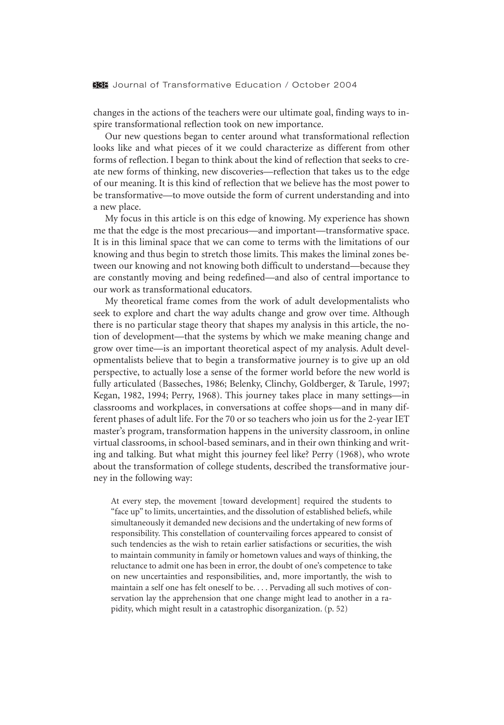changes in the actions of the teachers were our ultimate goal, finding ways to inspire transformational reflection took on new importance.

Our new questions began to center around what transformational reflection looks like and what pieces of it we could characterize as different from other forms of reflection. I began to think about the kind of reflection that seeks to create new forms of thinking, new discoveries—reflection that takes us to the edge of our meaning. It is this kind of reflection that we believe has the most power to be transformative—to move outside the form of current understanding and into a new place.

My focus in this article is on this edge of knowing. My experience has shown me that the edge is the most precarious—and important—transformative space. It is in this liminal space that we can come to terms with the limitations of our knowing and thus begin to stretch those limits. This makes the liminal zones between our knowing and not knowing both difficult to understand—because they are constantly moving and being redefined—and also of central importance to our work as transformational educators.

My theoretical frame comes from the work of adult developmentalists who seek to explore and chart the way adults change and grow over time. Although there is no particular stage theory that shapes my analysis in this article, the notion of development—that the systems by which we make meaning change and grow over time—is an important theoretical aspect of my analysis. Adult developmentalists believe that to begin a transformative journey is to give up an old perspective, to actually lose a sense of the former world before the new world is fully articulated (Basseches, 1986; Belenky, Clinchy, Goldberger, & Tarule, 1997; Kegan, 1982, 1994; Perry, 1968). This journey takes place in many settings—in classrooms and workplaces, in conversations at coffee shops—and in many different phases of adult life. For the 70 or so teachers who join us for the 2-year IET master's program, transformation happens in the university classroom, in online virtual classrooms, in school-based seminars, and in their own thinking and writing and talking. But what might this journey feel like? Perry (1968), who wrote about the transformation of college students, described the transformative journey in the following way:

At every step, the movement [toward development] required the students to "face up" to limits, uncertainties, and the dissolution of established beliefs, while simultaneously it demanded new decisions and the undertaking of new forms of responsibility. This constellation of countervailing forces appeared to consist of such tendencies as the wish to retain earlier satisfactions or securities, the wish to maintain community in family or hometown values and ways of thinking, the reluctance to admit one has been in error, the doubt of one's competence to take on new uncertainties and responsibilities, and, more importantly, the wish to maintain a self one has felt oneself to be. . . . Pervading all such motives of conservation lay the apprehension that one change might lead to another in a rapidity, which might result in a catastrophic disorganization. (p. 52)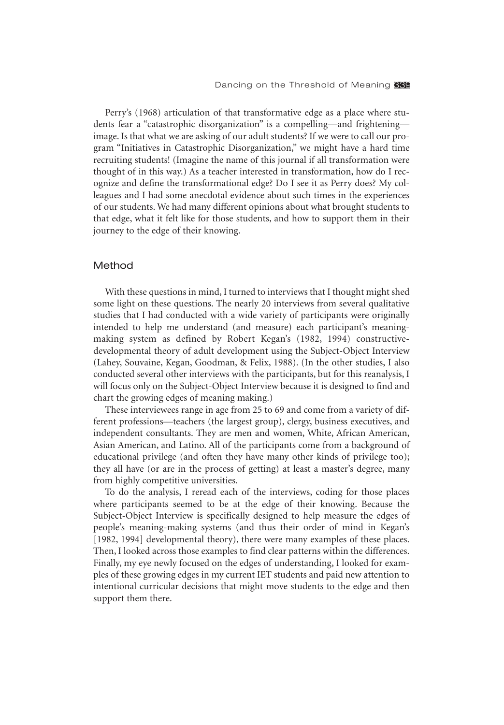Perry's (1968) articulation of that transformative edge as a place where students fear a "catastrophic disorganization" is a compelling—and frightening image. Is that what we are asking of our adult students? If we were to call our program "Initiatives in Catastrophic Disorganization," we might have a hard time recruiting students! (Imagine the name of this journal if all transformation were thought of in this way.) As a teacher interested in transformation, how do I recognize and define the transformational edge? Do I see it as Perry does? My colleagues and I had some anecdotal evidence about such times in the experiences of our students. We had many different opinions about what brought students to that edge, what it felt like for those students, and how to support them in their journey to the edge of their knowing.

#### Method

With these questions in mind, I turned to interviews that I thought might shed some light on these questions. The nearly 20 interviews from several qualitative studies that I had conducted with a wide variety of participants were originally intended to help me understand (and measure) each participant's meaningmaking system as defined by Robert Kegan's (1982, 1994) constructivedevelopmental theory of adult development using the Subject-Object Interview (Lahey, Souvaine, Kegan, Goodman, & Felix, 1988). (In the other studies, I also conducted several other interviews with the participants, but for this reanalysis, I will focus only on the Subject-Object Interview because it is designed to find and chart the growing edges of meaning making.)

These interviewees range in age from 25 to 69 and come from a variety of different professions—teachers (the largest group), clergy, business executives, and independent consultants. They are men and women, White, African American, Asian American, and Latino. All of the participants come from a background of educational privilege (and often they have many other kinds of privilege too); they all have (or are in the process of getting) at least a master's degree, many from highly competitive universities.

To do the analysis, I reread each of the interviews, coding for those places where participants seemed to be at the edge of their knowing. Because the Subject-Object Interview is specifically designed to help measure the edges of people's meaning-making systems (and thus their order of mind in Kegan's [1982, 1994] developmental theory), there were many examples of these places. Then, I looked across those examples to find clear patterns within the differences. Finally, my eye newly focused on the edges of understanding, I looked for examples of these growing edges in my current IET students and paid new attention to intentional curricular decisions that might move students to the edge and then support them there.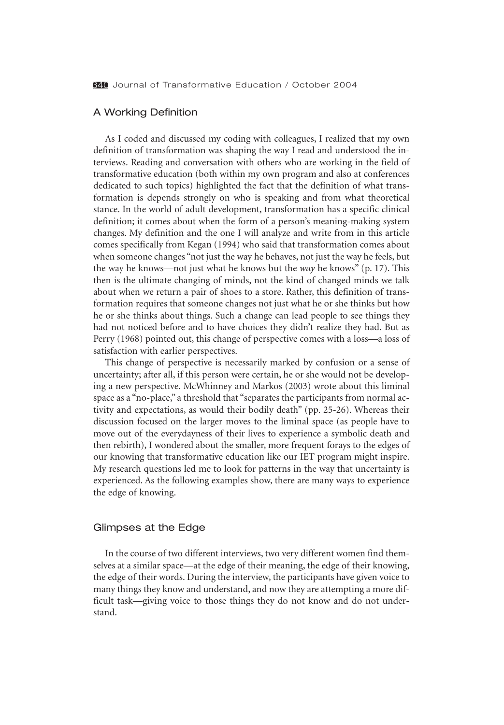#### A Working Definition

As I coded and discussed my coding with colleagues, I realized that my own definition of transformation was shaping the way I read and understood the interviews. Reading and conversation with others who are working in the field of transformative education (both within my own program and also at conferences dedicated to such topics) highlighted the fact that the definition of what transformation is depends strongly on who is speaking and from what theoretical stance. In the world of adult development, transformation has a specific clinical definition; it comes about when the form of a person's meaning-making system changes. My definition and the one I will analyze and write from in this article comes specifically from Kegan (1994) who said that transformation comes about when someone changes "not just the way he behaves, not just the way he feels, but the way he knows—not just what he knows but the *way* he knows" (p. 17). This then is the ultimate changing of minds, not the kind of changed minds we talk about when we return a pair of shoes to a store. Rather, this definition of transformation requires that someone changes not just what he or she thinks but how he or she thinks about things. Such a change can lead people to see things they had not noticed before and to have choices they didn't realize they had. But as Perry (1968) pointed out, this change of perspective comes with a loss—a loss of satisfaction with earlier perspectives.

This change of perspective is necessarily marked by confusion or a sense of uncertainty; after all, if this person were certain, he or she would not be developing a new perspective. McWhinney and Markos (2003) wrote about this liminal space as a "no-place," a threshold that "separates the participants from normal activity and expectations, as would their bodily death" (pp. 25-26). Whereas their discussion focused on the larger moves to the liminal space (as people have to move out of the everydayness of their lives to experience a symbolic death and then rebirth), I wondered about the smaller, more frequent forays to the edges of our knowing that transformative education like our IET program might inspire. My research questions led me to look for patterns in the way that uncertainty is experienced. As the following examples show, there are many ways to experience the edge of knowing.

### Glimpses at the Edge

In the course of two different interviews, two very different women find themselves at a similar space—at the edge of their meaning, the edge of their knowing, the edge of their words. During the interview, the participants have given voice to many things they know and understand, and now they are attempting a more difficult task—giving voice to those things they do not know and do not understand.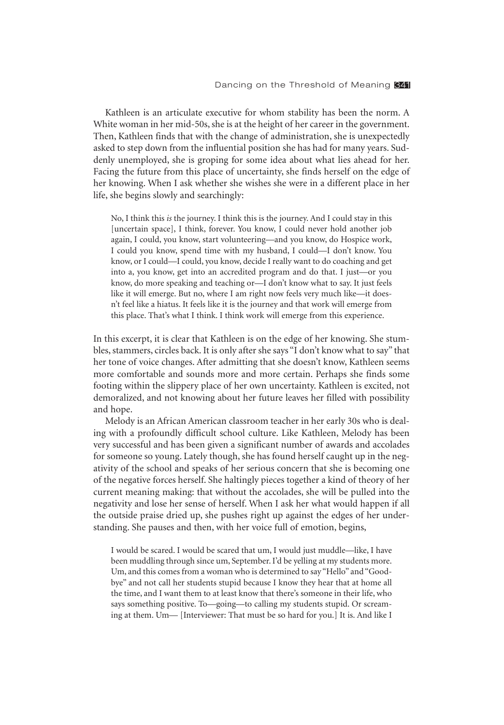Kathleen is an articulate executive for whom stability has been the norm. A White woman in her mid-50s, she is at the height of her career in the government. Then, Kathleen finds that with the change of administration, she is unexpectedly asked to step down from the influential position she has had for many years. Suddenly unemployed, she is groping for some idea about what lies ahead for her. Facing the future from this place of uncertainty, she finds herself on the edge of her knowing. When I ask whether she wishes she were in a different place in her life, she begins slowly and searchingly:

No, I think this *is* the journey. I think this is the journey. And I could stay in this [uncertain space], I think, forever. You know, I could never hold another job again, I could, you know, start volunteering—and you know, do Hospice work, I could you know, spend time with my husband, I could—I don't know. You know, or I could—I could, you know, decide I really want to do coaching and get into a, you know, get into an accredited program and do that. I just—or you know, do more speaking and teaching or—I don't know what to say. It just feels like it will emerge. But no, where I am right now feels very much like—it doesn't feel like a hiatus. It feels like it is the journey and that work will emerge from this place. That's what I think. I think work will emerge from this experience.

In this excerpt, it is clear that Kathleen is on the edge of her knowing. She stumbles, stammers, circles back. It is only after she says "I don't know what to say" that her tone of voice changes. After admitting that she doesn't know, Kathleen seems more comfortable and sounds more and more certain. Perhaps she finds some footing within the slippery place of her own uncertainty. Kathleen is excited, not demoralized, and not knowing about her future leaves her filled with possibility and hope.

Melody is an African American classroom teacher in her early 30s who is dealing with a profoundly difficult school culture. Like Kathleen, Melody has been very successful and has been given a significant number of awards and accolades for someone so young. Lately though, she has found herself caught up in the negativity of the school and speaks of her serious concern that she is becoming one of the negative forces herself. She haltingly pieces together a kind of theory of her current meaning making: that without the accolades, she will be pulled into the negativity and lose her sense of herself. When I ask her what would happen if all the outside praise dried up, she pushes right up against the edges of her understanding. She pauses and then, with her voice full of emotion, begins,

I would be scared. I would be scared that um, I would just muddle—like, I have been muddling through since um, September. I'd be yelling at my students more. Um, and this comes from a woman who is determined to say "Hello" and "Goodbye" and not call her students stupid because I know they hear that at home all the time, and I want them to at least know that there's someone in their life, who says something positive. To—going—to calling my students stupid. Or screaming at them. Um— [Interviewer: That must be so hard for you.] It is. And like I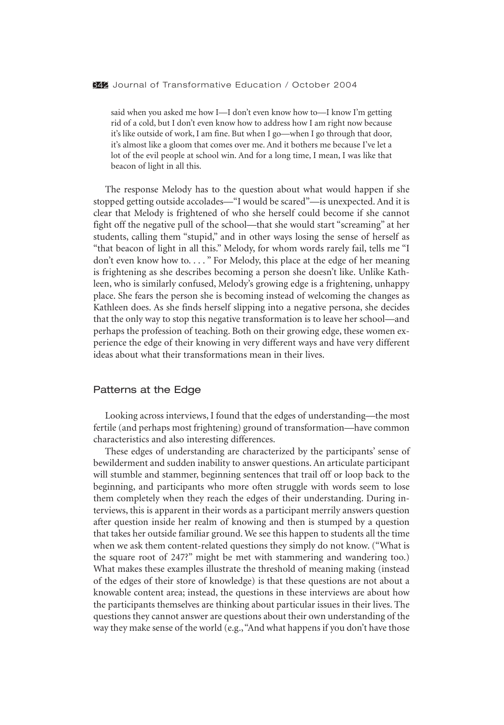#### 342 Journal of Transformative Education / October 2004

said when you asked me how I—I don't even know how to—I know I'm getting rid of a cold, but I don't even know how to address how I am right now because it's like outside of work, I am fine. But when I go—when I go through that door, it's almost like a gloom that comes over me. And it bothers me because I've let a lot of the evil people at school win. And for a long time, I mean, I was like that beacon of light in all this.

The response Melody has to the question about what would happen if she stopped getting outside accolades—"I would be scared"—is unexpected. And it is clear that Melody is frightened of who she herself could become if she cannot fight off the negative pull of the school—that she would start "screaming" at her students, calling them "stupid," and in other ways losing the sense of herself as "that beacon of light in all this." Melody, for whom words rarely fail, tells me "I don't even know how to. . . . " For Melody, this place at the edge of her meaning is frightening as she describes becoming a person she doesn't like. Unlike Kathleen, who is similarly confused, Melody's growing edge is a frightening, unhappy place. She fears the person she is becoming instead of welcoming the changes as Kathleen does. As she finds herself slipping into a negative persona, she decides that the only way to stop this negative transformation is to leave her school—and perhaps the profession of teaching. Both on their growing edge, these women experience the edge of their knowing in very different ways and have very different ideas about what their transformations mean in their lives.

## Patterns at the Edge

Looking across interviews, I found that the edges of understanding—the most fertile (and perhaps most frightening) ground of transformation—have common characteristics and also interesting differences.

These edges of understanding are characterized by the participants' sense of bewilderment and sudden inability to answer questions. An articulate participant will stumble and stammer, beginning sentences that trail off or loop back to the beginning, and participants who more often struggle with words seem to lose them completely when they reach the edges of their understanding. During interviews, this is apparent in their words as a participant merrily answers question after question inside her realm of knowing and then is stumped by a question that takes her outside familiar ground. We see this happen to students all the time when we ask them content-related questions they simply do not know. ("What is the square root of 247?" might be met with stammering and wandering too.) What makes these examples illustrate the threshold of meaning making (instead of the edges of their store of knowledge) is that these questions are not about a knowable content area; instead, the questions in these interviews are about how the participants themselves are thinking about particular issues in their lives. The questions they cannot answer are questions about their own understanding of the way they make sense of the world (e.g.,"And what happens if you don't have those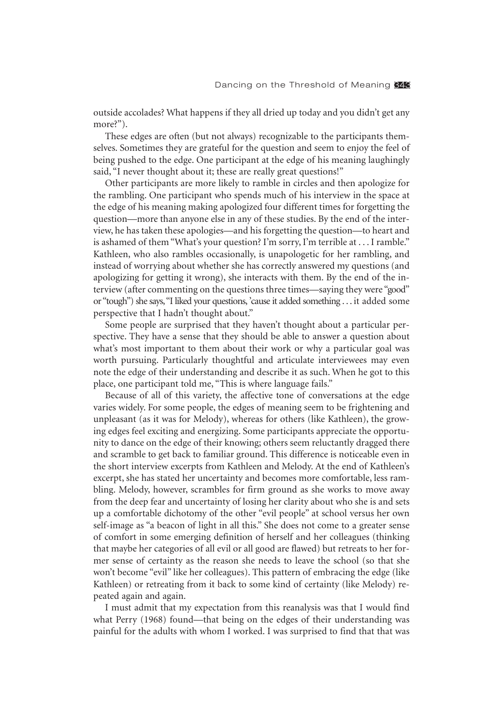outside accolades? What happens if they all dried up today and you didn't get any more?").

These edges are often (but not always) recognizable to the participants themselves. Sometimes they are grateful for the question and seem to enjoy the feel of being pushed to the edge. One participant at the edge of his meaning laughingly said, "I never thought about it; these are really great questions!"

Other participants are more likely to ramble in circles and then apologize for the rambling. One participant who spends much of his interview in the space at the edge of his meaning making apologized four different times for forgetting the question—more than anyone else in any of these studies. By the end of the interview, he has taken these apologies—and his forgetting the question—to heart and is ashamed of them "What's your question? I'm sorry, I'm terrible at . . . I ramble." Kathleen, who also rambles occasionally, is unapologetic for her rambling, and instead of worrying about whether she has correctly answered my questions (and apologizing for getting it wrong), she interacts with them. By the end of the interview (after commenting on the questions three times—saying they were "good" or "tough") she says,"I liked your questions, 'cause it added something . . . it added some perspective that I hadn't thought about."

Some people are surprised that they haven't thought about a particular perspective. They have a sense that they should be able to answer a question about what's most important to them about their work or why a particular goal was worth pursuing. Particularly thoughtful and articulate interviewees may even note the edge of their understanding and describe it as such. When he got to this place, one participant told me, "This is where language fails."

Because of all of this variety, the affective tone of conversations at the edge varies widely. For some people, the edges of meaning seem to be frightening and unpleasant (as it was for Melody), whereas for others (like Kathleen), the growing edges feel exciting and energizing. Some participants appreciate the opportunity to dance on the edge of their knowing; others seem reluctantly dragged there and scramble to get back to familiar ground. This difference is noticeable even in the short interview excerpts from Kathleen and Melody. At the end of Kathleen's excerpt, she has stated her uncertainty and becomes more comfortable, less rambling. Melody, however, scrambles for firm ground as she works to move away from the deep fear and uncertainty of losing her clarity about who she is and sets up a comfortable dichotomy of the other "evil people" at school versus her own self-image as "a beacon of light in all this." She does not come to a greater sense of comfort in some emerging definition of herself and her colleagues (thinking that maybe her categories of all evil or all good are flawed) but retreats to her former sense of certainty as the reason she needs to leave the school (so that she won't become "evil" like her colleagues). This pattern of embracing the edge (like Kathleen) or retreating from it back to some kind of certainty (like Melody) repeated again and again.

I must admit that my expectation from this reanalysis was that I would find what Perry (1968) found—that being on the edges of their understanding was painful for the adults with whom I worked. I was surprised to find that that was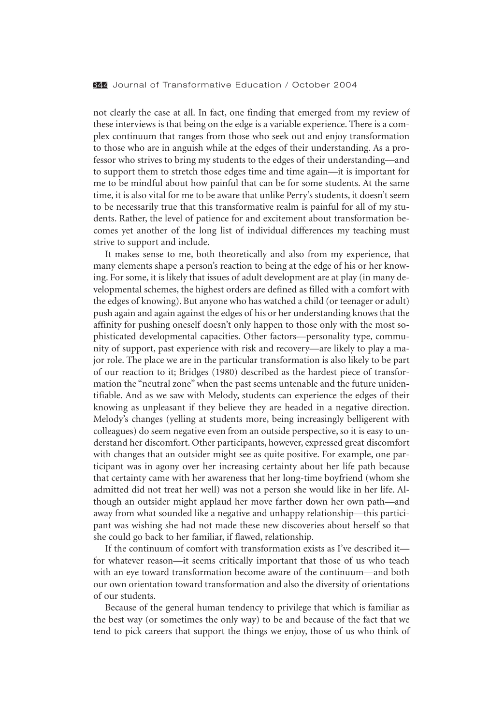not clearly the case at all. In fact, one finding that emerged from my review of these interviews is that being on the edge is a variable experience. There is a complex continuum that ranges from those who seek out and enjoy transformation to those who are in anguish while at the edges of their understanding. As a professor who strives to bring my students to the edges of their understanding—and to support them to stretch those edges time and time again—it is important for me to be mindful about how painful that can be for some students. At the same time, it is also vital for me to be aware that unlike Perry's students, it doesn't seem to be necessarily true that this transformative realm is painful for all of my students. Rather, the level of patience for and excitement about transformation becomes yet another of the long list of individual differences my teaching must strive to support and include.

It makes sense to me, both theoretically and also from my experience, that many elements shape a person's reaction to being at the edge of his or her knowing. For some, it is likely that issues of adult development are at play (in many developmental schemes, the highest orders are defined as filled with a comfort with the edges of knowing). But anyone who has watched a child (or teenager or adult) push again and again against the edges of his or her understanding knows that the affinity for pushing oneself doesn't only happen to those only with the most sophisticated developmental capacities. Other factors—personality type, community of support, past experience with risk and recovery—are likely to play a major role. The place we are in the particular transformation is also likely to be part of our reaction to it; Bridges (1980) described as the hardest piece of transformation the "neutral zone" when the past seems untenable and the future unidentifiable. And as we saw with Melody, students can experience the edges of their knowing as unpleasant if they believe they are headed in a negative direction. Melody's changes (yelling at students more, being increasingly belligerent with colleagues) do seem negative even from an outside perspective, so it is easy to understand her discomfort. Other participants, however, expressed great discomfort with changes that an outsider might see as quite positive. For example, one participant was in agony over her increasing certainty about her life path because that certainty came with her awareness that her long-time boyfriend (whom she admitted did not treat her well) was not a person she would like in her life. Although an outsider might applaud her move farther down her own path—and away from what sounded like a negative and unhappy relationship—this participant was wishing she had not made these new discoveries about herself so that she could go back to her familiar, if flawed, relationship.

If the continuum of comfort with transformation exists as I've described it for whatever reason—it seems critically important that those of us who teach with an eye toward transformation become aware of the continuum—and both our own orientation toward transformation and also the diversity of orientations of our students.

Because of the general human tendency to privilege that which is familiar as the best way (or sometimes the only way) to be and because of the fact that we tend to pick careers that support the things we enjoy, those of us who think of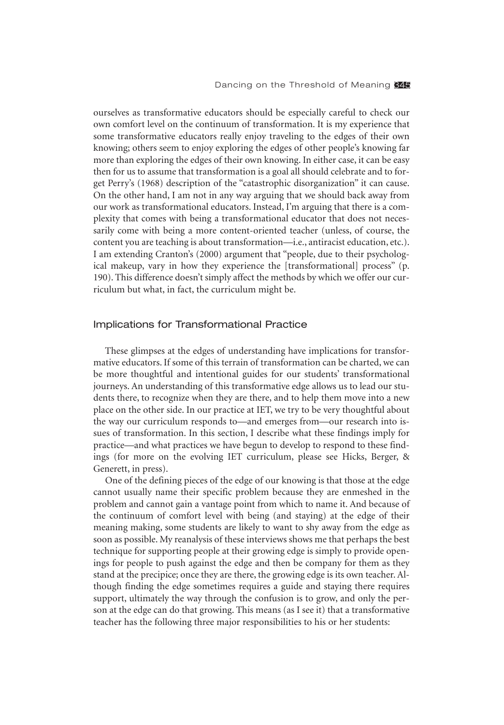ourselves as transformative educators should be especially careful to check our own comfort level on the continuum of transformation. It is my experience that some transformative educators really enjoy traveling to the edges of their own knowing; others seem to enjoy exploring the edges of other people's knowing far more than exploring the edges of their own knowing. In either case, it can be easy then for us to assume that transformation is a goal all should celebrate and to forget Perry's (1968) description of the "catastrophic disorganization" it can cause. On the other hand, I am not in any way arguing that we should back away from our work as transformational educators. Instead, I'm arguing that there is a complexity that comes with being a transformational educator that does not necessarily come with being a more content-oriented teacher (unless, of course, the content you are teaching is about transformation—i.e., antiracist education, etc.). I am extending Cranton's (2000) argument that "people, due to their psychological makeup, vary in how they experience the [transformational] process" (p. 190). This difference doesn't simply affect the methods by which we offer our curriculum but what, in fact, the curriculum might be.

#### Implications for Transformational Practice

These glimpses at the edges of understanding have implications for transformative educators. If some of this terrain of transformation can be charted, we can be more thoughtful and intentional guides for our students' transformational journeys. An understanding of this transformative edge allows us to lead our students there, to recognize when they are there, and to help them move into a new place on the other side. In our practice at IET, we try to be very thoughtful about the way our curriculum responds to—and emerges from—our research into issues of transformation. In this section, I describe what these findings imply for practice—and what practices we have begun to develop to respond to these findings (for more on the evolving IET curriculum, please see Hicks, Berger, & Generett, in press).

One of the defining pieces of the edge of our knowing is that those at the edge cannot usually name their specific problem because they are enmeshed in the problem and cannot gain a vantage point from which to name it. And because of the continuum of comfort level with being (and staying) at the edge of their meaning making, some students are likely to want to shy away from the edge as soon as possible. My reanalysis of these interviews shows me that perhaps the best technique for supporting people at their growing edge is simply to provide openings for people to push against the edge and then be company for them as they stand at the precipice; once they are there, the growing edge is its own teacher. Although finding the edge sometimes requires a guide and staying there requires support, ultimately the way through the confusion is to grow, and only the person at the edge can do that growing. This means (as I see it) that a transformative teacher has the following three major responsibilities to his or her students: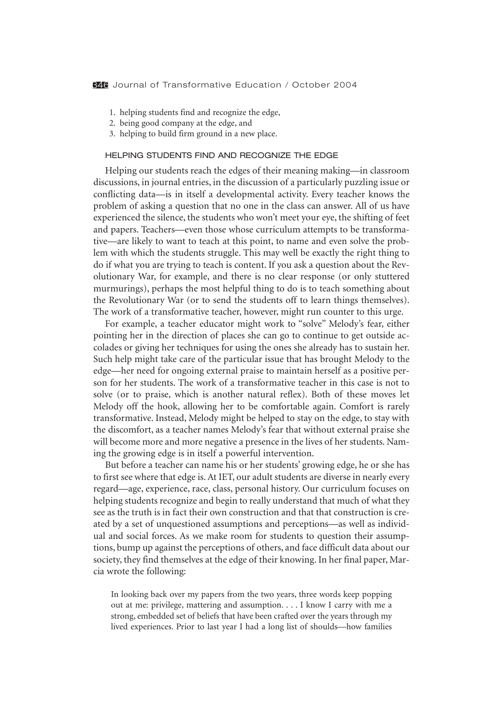- 1. helping students find and recognize the edge,
- 2. being good company at the edge, and
- 3. helping to build firm ground in a new place.

#### HELPING STUDENTS FIND AND RECOGNIZE THE EDGE

Helping our students reach the edges of their meaning making—in classroom discussions, in journal entries, in the discussion of a particularly puzzling issue or conflicting data—is in itself a developmental activity. Every teacher knows the problem of asking a question that no one in the class can answer. All of us have experienced the silence, the students who won't meet your eye, the shifting of feet and papers. Teachers—even those whose curriculum attempts to be transformative—are likely to want to teach at this point, to name and even solve the problem with which the students struggle. This may well be exactly the right thing to do if what you are trying to teach is content. If you ask a question about the Revolutionary War, for example, and there is no clear response (or only stuttered murmurings), perhaps the most helpful thing to do is to teach something about the Revolutionary War (or to send the students off to learn things themselves). The work of a transformative teacher, however, might run counter to this urge.

For example, a teacher educator might work to "solve" Melody's fear, either pointing her in the direction of places she can go to continue to get outside accolades or giving her techniques for using the ones she already has to sustain her. Such help might take care of the particular issue that has brought Melody to the edge—her need for ongoing external praise to maintain herself as a positive person for her students. The work of a transformative teacher in this case is not to solve (or to praise, which is another natural reflex). Both of these moves let Melody off the hook, allowing her to be comfortable again. Comfort is rarely transformative. Instead, Melody might be helped to stay on the edge, to stay with the discomfort, as a teacher names Melody's fear that without external praise she will become more and more negative a presence in the lives of her students. Naming the growing edge is in itself a powerful intervention.

But before a teacher can name his or her students' growing edge, he or she has to first see where that edge is. At IET, our adult students are diverse in nearly every regard—age, experience, race, class, personal history. Our curriculum focuses on helping students recognize and begin to really understand that much of what they see as the truth is in fact their own construction and that that construction is created by a set of unquestioned assumptions and perceptions—as well as individual and social forces. As we make room for students to question their assumptions, bump up against the perceptions of others, and face difficult data about our society, they find themselves at the edge of their knowing. In her final paper, Marcia wrote the following:

In looking back over my papers from the two years, three words keep popping out at me: privilege, mattering and assumption. . . . I know I carry with me a strong, embedded set of beliefs that have been crafted over the years through my lived experiences. Prior to last year I had a long list of shoulds—how families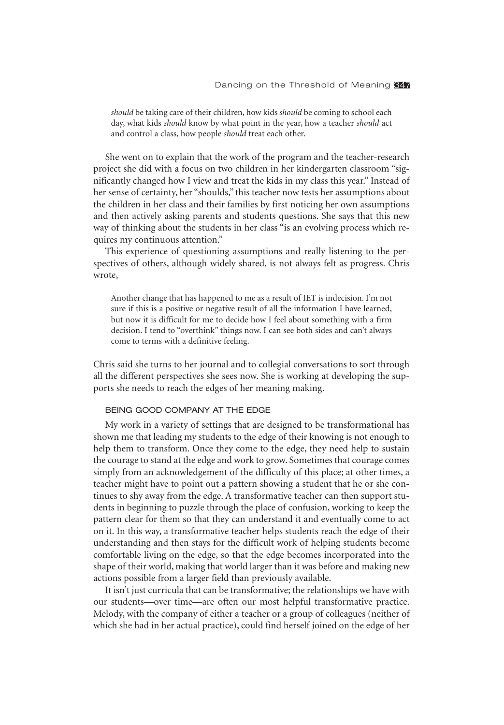*should* be taking care of their children, how kids *should* be coming to school each day, what kids *should* know by what point in the year, how a teacher *should* act and control a class, how people *should* treat each other.

She went on to explain that the work of the program and the teacher-research project she did with a focus on two children in her kindergarten classroom "significantly changed how I view and treat the kids in my class this year." Instead of her sense of certainty, her "shoulds," this teacher now tests her assumptions about the children in her class and their families by first noticing her own assumptions and then actively asking parents and students questions. She says that this new way of thinking about the students in her class "is an evolving process which requires my continuous attention."

This experience of questioning assumptions and really listening to the perspectives of others, although widely shared, is not always felt as progress. Chris wrote,

Another change that has happened to me as a result of IET is indecision. I'm not sure if this is a positive or negative result of all the information I have learned, but now it is difficult for me to decide how I feel about something with a firm decision. I tend to "overthink" things now. I can see both sides and can't always come to terms with a definitive feeling.

Chris said she turns to her journal and to collegial conversations to sort through all the different perspectives she sees now. She is working at developing the supports she needs to reach the edges of her meaning making.

#### BEING GOOD COMPANY AT THE EDGE

My work in a variety of settings that are designed to be transformational has shown me that leading my students to the edge of their knowing is not enough to help them to transform. Once they come to the edge, they need help to sustain the courage to stand at the edge and work to grow. Sometimes that courage comes simply from an acknowledgement of the difficulty of this place; at other times, a teacher might have to point out a pattern showing a student that he or she continues to shy away from the edge. A transformative teacher can then support students in beginning to puzzle through the place of confusion, working to keep the pattern clear for them so that they can understand it and eventually come to act on it. In this way, a transformative teacher helps students reach the edge of their understanding and then stays for the difficult work of helping students become comfortable living on the edge, so that the edge becomes incorporated into the shape of their world, making that world larger than it was before and making new actions possible from a larger field than previously available.

It isn't just curricula that can be transformative; the relationships we have with our students—over time—are often our most helpful transformative practice. Melody, with the company of either a teacher or a group of colleagues (neither of which she had in her actual practice), could find herself joined on the edge of her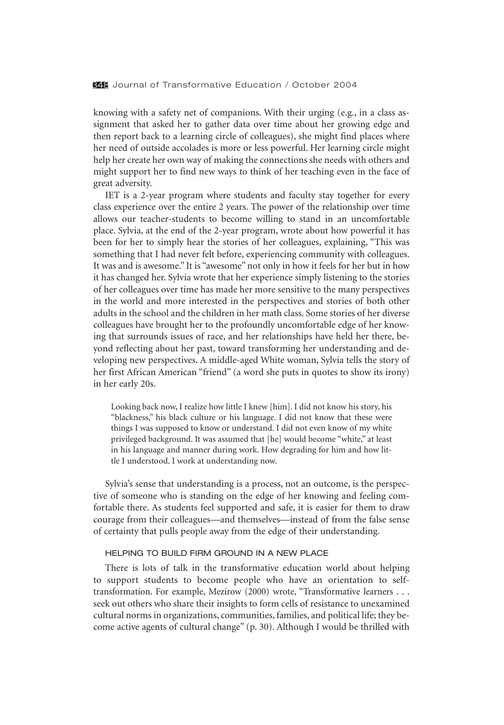knowing with a safety net of companions. With their urging (e.g., in a class assignment that asked her to gather data over time about her growing edge and then report back to a learning circle of colleagues), she might find places where her need of outside accolades is more or less powerful. Her learning circle might help her create her own way of making the connections she needs with others and might support her to find new ways to think of her teaching even in the face of great adversity.

IET is a 2-year program where students and faculty stay together for every class experience over the entire 2 years. The power of the relationship over time allows our teacher-students to become willing to stand in an uncomfortable place. Sylvia, at the end of the 2-year program, wrote about how powerful it has been for her to simply hear the stories of her colleagues, explaining, "This was something that I had never felt before, experiencing community with colleagues. It was and is awesome." It is "awesome" not only in how it feels for her but in how it has changed her. Sylvia wrote that her experience simply listening to the stories of her colleagues over time has made her more sensitive to the many perspectives in the world and more interested in the perspectives and stories of both other adults in the school and the children in her math class. Some stories of her diverse colleagues have brought her to the profoundly uncomfortable edge of her knowing that surrounds issues of race, and her relationships have held her there, beyond reflecting about her past, toward transforming her understanding and developing new perspectives. A middle-aged White woman, Sylvia tells the story of her first African American "friend" (a word she puts in quotes to show its irony) in her early 20s.

Looking back now, I realize how little I knew [him]. I did not know his story, his "blackness," his black culture or his language. I did not know that these were things I was supposed to know or understand. I did not even know of my white privileged background. It was assumed that [he] would become "white," at least in his language and manner during work. How degrading for him and how little I understood. I work at understanding now.

Sylvia's sense that understanding is a process, not an outcome, is the perspective of someone who is standing on the edge of her knowing and feeling comfortable there. As students feel supported and safe, it is easier for them to draw courage from their colleagues—and themselves—instead of from the false sense of certainty that pulls people away from the edge of their understanding.

#### HELPING TO BUILD FIRM GROUND IN A NEW PLACE

There is lots of talk in the transformative education world about helping to support students to become people who have an orientation to selftransformation. For example, Mezirow (2000) wrote, "Transformative learners . . . seek out others who share their insights to form cells of resistance to unexamined cultural norms in organizations, communities, families, and political life; they become active agents of cultural change" (p. 30). Although I would be thrilled with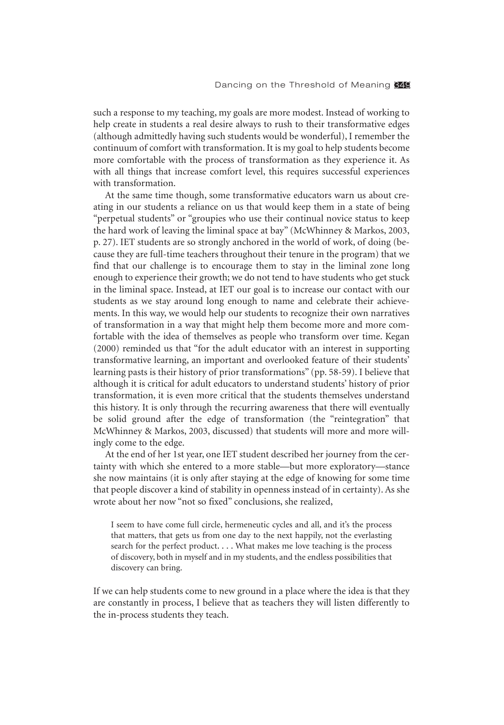such a response to my teaching, my goals are more modest. Instead of working to help create in students a real desire always to rush to their transformative edges (although admittedly having such students would be wonderful), I remember the continuum of comfort with transformation. It is my goal to help students become more comfortable with the process of transformation as they experience it. As with all things that increase comfort level, this requires successful experiences with transformation.

At the same time though, some transformative educators warn us about creating in our students a reliance on us that would keep them in a state of being "perpetual students" or "groupies who use their continual novice status to keep the hard work of leaving the liminal space at bay" (McWhinney & Markos, 2003, p. 27). IET students are so strongly anchored in the world of work, of doing (because they are full-time teachers throughout their tenure in the program) that we find that our challenge is to encourage them to stay in the liminal zone long enough to experience their growth; we do not tend to have students who get stuck in the liminal space. Instead, at IET our goal is to increase our contact with our students as we stay around long enough to name and celebrate their achievements. In this way, we would help our students to recognize their own narratives of transformation in a way that might help them become more and more comfortable with the idea of themselves as people who transform over time. Kegan (2000) reminded us that "for the adult educator with an interest in supporting transformative learning, an important and overlooked feature of their students' learning pasts is their history of prior transformations" (pp. 58-59). I believe that although it is critical for adult educators to understand students' history of prior transformation, it is even more critical that the students themselves understand this history. It is only through the recurring awareness that there will eventually be solid ground after the edge of transformation (the "reintegration" that McWhinney & Markos, 2003, discussed) that students will more and more willingly come to the edge.

At the end of her 1st year, one IET student described her journey from the certainty with which she entered to a more stable—but more exploratory—stance she now maintains (it is only after staying at the edge of knowing for some time that people discover a kind of stability in openness instead of in certainty). As she wrote about her now "not so fixed" conclusions, she realized,

I seem to have come full circle, hermeneutic cycles and all, and it's the process that matters, that gets us from one day to the next happily, not the everlasting search for the perfect product.... What makes me love teaching is the process of discovery, both in myself and in my students, and the endless possibilities that discovery can bring.

If we can help students come to new ground in a place where the idea is that they are constantly in process, I believe that as teachers they will listen differently to the in-process students they teach.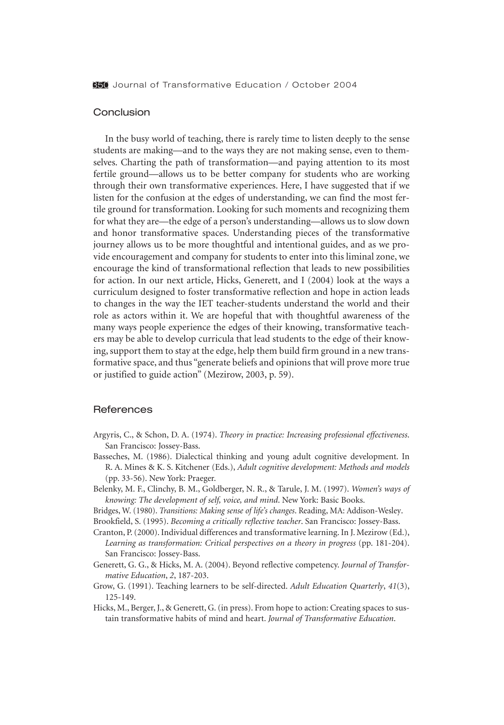#### **350** Journal of Transformative Education / October 2004

#### Conclusion

In the busy world of teaching, there is rarely time to listen deeply to the sense students are making—and to the ways they are not making sense, even to themselves. Charting the path of transformation—and paying attention to its most fertile ground—allows us to be better company for students who are working through their own transformative experiences. Here, I have suggested that if we listen for the confusion at the edges of understanding, we can find the most fertile ground for transformation. Looking for such moments and recognizing them for what they are—the edge of a person's understanding—allows us to slow down and honor transformative spaces. Understanding pieces of the transformative journey allows us to be more thoughtful and intentional guides, and as we provide encouragement and company for students to enter into this liminal zone, we encourage the kind of transformational reflection that leads to new possibilities for action. In our next article, Hicks, Generett, and I (2004) look at the ways a curriculum designed to foster transformative reflection and hope in action leads to changes in the way the IET teacher-students understand the world and their role as actors within it. We are hopeful that with thoughtful awareness of the many ways people experience the edges of their knowing, transformative teachers may be able to develop curricula that lead students to the edge of their knowing, support them to stay at the edge, help them build firm ground in a new transformative space, and thus "generate beliefs and opinions that will prove more true or justified to guide action" (Mezirow, 2003, p. 59).

## **References**

- Argyris, C., & Schon, D. A. (1974). *Theory in practice: Increasing professional effectiveness*. San Francisco: Jossey-Bass.
- Basseches, M. (1986). Dialectical thinking and young adult cognitive development. In R. A. Mines & K. S. Kitchener (Eds.), *Adult cognitive development: Methods and models* (pp. 33-56). New York: Praeger.
- Belenky, M. F., Clinchy, B. M., Goldberger, N. R., & Tarule, J. M. (1997). *Women's ways of knowing: The development of self, voice, and mind*. New York: Basic Books.
- Bridges, W. (1980). *Transitions: Making sense of life's changes*. Reading, MA: Addison-Wesley.
- Brookfield, S. (1995). *Becoming a critically reflective teacher*. San Francisco: Jossey-Bass.
- Cranton, P. (2000). Individual differences and transformative learning. In J. Mezirow (Ed.), *Learning as transformation: Critical perspectives on a theory in progress* (pp. 181-204). San Francisco: Jossey-Bass.
- Generett, G. G., & Hicks, M. A. (2004). Beyond reflective competency. *Journal of Transformative Education*, *2*, 187-203.
- Grow, G. (1991). Teaching learners to be self-directed. *Adult Education Quarterly*, *41*(3), 125-149.
- Hicks, M., Berger, J., & Generett, G. (in press). From hope to action: Creating spaces to sustain transformative habits of mind and heart. *Journal of Transformative Education*.